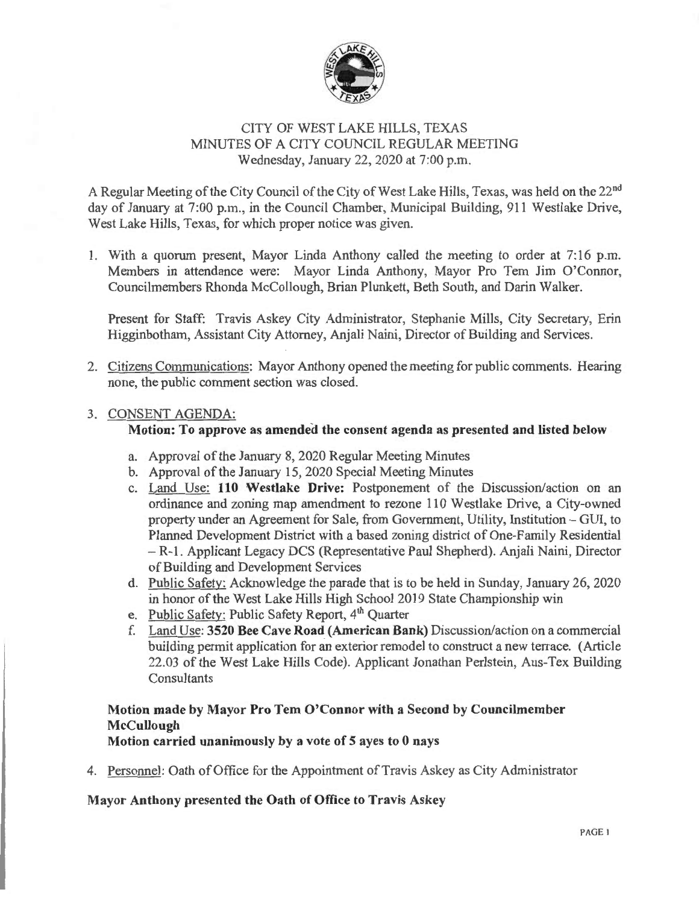

## CITY OF WEST LAKE HILLS, TEXAS MINUTES OF A CITY COUNCIL REGULAR MEETING Wednesday, January 22, 2020 at 7:00 p.m.

A Regular Meeting of the City Council of the City of West Lake Hills, Texas, was held on the 22<sup>nd</sup> day of January at 7:00 p.m., in the Council Chamber, Municipal Building, 911 Westlake Drive, West Lake Hills, Texas, for which proper notice was given.

1. With a quorum present, Mayor Linda Anthony called the meeting to order at 7:16 p.m. Members in attendance were: Mayor Linda Anthony, Mayor Pro Tem Jim O'Connor, Councilmembers Rhonda McCollough, Brian Plunkett, Beth South, and Darin Walker.

Present for Staff: Travis Askey City Administrator, Stephanie Mills, City Secretary, Erin Higginbotham, Assistant City Attorney, Anjali Naini, Director of Building and Services.

2. Citizens Communications: Mayor Anthony opened the meeting for public comments. Hearing none, the public comment section was closed.

#### 3. CONSENT AGENDA:

#### Motion: To approve as amended the consent agenda as presented and listed below

- a. Approval of the January 8, 2020 Regular Meeting Minutes
- b. Approval of the January 15, 2020 Special Meeting Minutes
- c. Land Use: 110 Westlake Drive: Postponement of the Discussion/action on an ordinance and zoning map amendment to rezone 110 Westlake Drive, a City-owned property under an Agreement for Sale, from Government, Utility, Institution - GUI, to Planned Development District with a based zoning district of One-Family Residential - R-1. Applicant Legacy DCS (Representative Paul Shepherd). Anjali Naini, Director of Building and Development Services
- d. Public Safety: Acknowledge the parade that is to be held in Sunday, January 26, 2020 in honor of the West Lake Hills High School 2019 State Championship win
- e. Public Safety: Public Safety Report, 4<sup>th</sup> Quarter
- f. Land Use: 3520 Bee Cave Road (American Bank) Discussion/action on a commercial building pennit application for an exterior remodel to construct a new terrace. (Article 22.03 of the West Lake Hills Code). Applicant Jonathan Perlstein, Aus-Tex Building **Consultants**

# Motion made by Mayor Pro Tem O'Connor with a Second by Councilmember **McCullough**

#### Motion carried unanimously by a vote of 5 ayes to 0 nays

4. Personnel: Oath of Office for the Appointment of Travis Askey as City Administrator

#### Mayor Anthony presented the Oath of Office to Travis Askey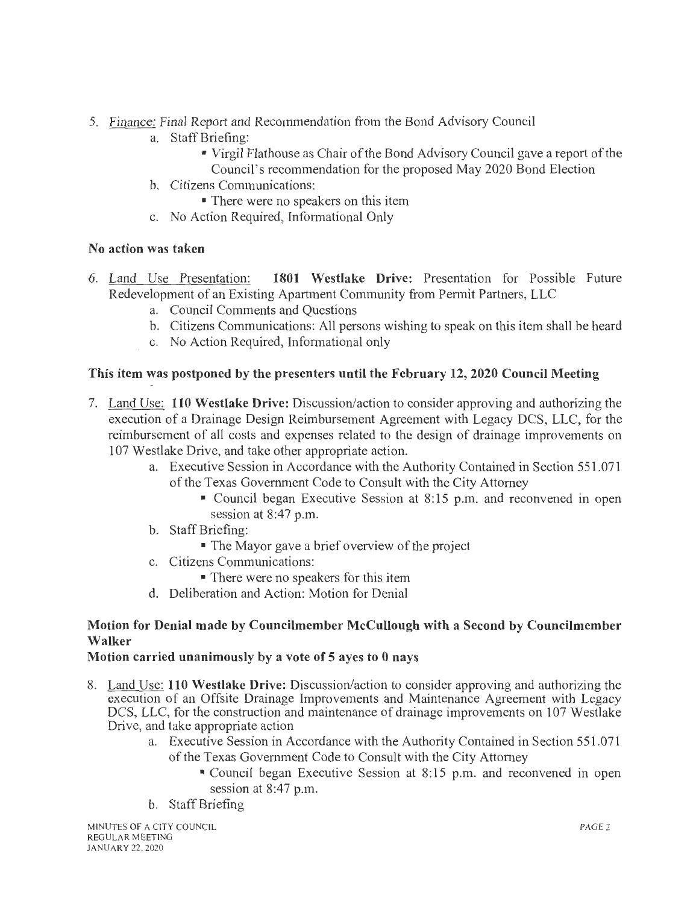- 5. Finance: Final Report and Recommendation from the Bond Advisory Council
	- a. StaffBriefing:
		- Virgil Flathouse as Chair of the Bond Advisory Council gave a report of the Council's recommendation for the proposed May 2020 Bond Election
	- b. Citizens Communications:
		- There were no speakers on this item
	- c. No Action Required, Informational Only

## No action was taken

- 6. Land Use Presentation: 1801 Westlake Drive: Presentation for Possible Future Redevelopment of an Existing Apartment Community from Permit Partners, LLC
	- a. Council Comments and Questions
	- b. Citizens Communications: All persons wishing to speak on this item shall be heard
	- c. No Action Required, Informational only

## This item was postponed by the presenters until the February 12, 2020 Council Meeting

- 7. Land Use: 110 Westlake Drive: Discussion/action to consider approving and authorizing the execution of a Drainage Design Reimbursement Agreement with Legacy DCS, LLC, for the reimbursement of all costs and expenses related to the design of drainage improvements on 107 Westlake Drive, and take other appropriate action.
	- a. Executive Session in Accordance with the Authority Contained in Section 551.071 of the Texas Government Code to Consult with the City Attorney
		- Council began Executive Session at 8:15 p.m. and reconvened in open session at 8:47 p.m.
	- b. Staff Briefing:
		- The Mayor gave a brief overview of the project
	- c. Citizens Communications:
		- There were no speakers for this item
	- d. Deliberation and Action: Motion for Denial

## Motion for Denial made by Councilmember McCullough with a Second by Councilmember Walker

## Motion carried unanimously by a vote of 5 ayes to 0 nays

- 8. Land Use: 110 Westlake Drive: Discussion/action to consider approving and authorizing the execution of an Offsite Drainage Improvements and Maintenance Agreement with Legacy DCS, LLC, for the construction and maintenance of drainage improvements on 107 Westlake Drive, and take appropriate action
	- a. Executive Session in Accordance with the Authority Contained in Section 551.071 of the Texas Government Code to Consult with the City Attorney
		- Council began Executive Session at 8:15 p.m. and reconvened in open session at 8:47 p.m.
	- b. Staff Briefing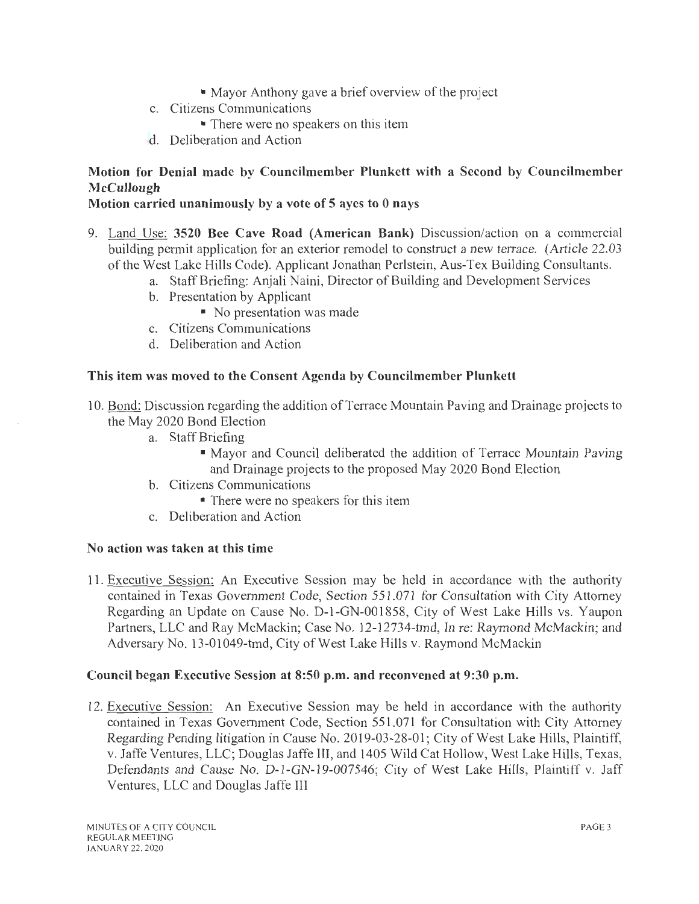- Mayor Anthony gave a brief overview of the project
- c. Citizens Communications
	- There were no speakers on this item
- d. Deliberation and Action

# Motion for Denial made by Councilmember Plunkett with a Second by Councilmember McCullough

## Motion carried unanimously by a vote of 5 ayes to 0 nays

- 9. Land Use: 3520 Bee Cave Road (American Bank) Discussion/action on a commercial building pennit application for an exterior remodel to construct a new terrace. (Article 22.03 of the West Lake Hills Code). Applicant Jonathan Perlstein, Aus-Tex Building Consultants.
	- a. Staff Briefing: Anjali Naini, Director of Building and Development Services
	- b. Presentation by Applicant
		- No presentation was made
	- c. Citizens Communications
	- d. Deliberation and Action

## This item was moved to the Consent Agenda by Councilmember Plunkett

- 10. Bond: Discussion regarding the addition of Terrace Mountain Paving and Drainage projects to the May 2020 Bond Election
	- a. Staff Briefing
		- Mayor and Council deliberated the addition of Terrace Mountain Paving and Drainage projects to the proposed May 2020 Bond Election
	- b. Citizens Communications
		- There were no speakers for this item
	- c. Deliberation and Action

## No action was taken at this time

11. Executive Session: An Executive Session may be held in accordance with the authority contained in Texas Government Code, Section 551.071 for Consultation with City Attorney Regarding an Update on Cause No. D-1-GN-001 858, City of West Lake Hills vs. Yaupon Partners, LLC and Ray McMackin; Case No. 12-12734-tmd, In re: Raymond McMackin; and Adversary No. 13-01049-tmd, City of West Lake Hills v. Raymond McMackin

## Council began Executive Session at 8:50 p.m. and reconvened at 9:30 p.m.

12. Executive Session: An Executive Session may be held in accordance with the authority contained in Texas Government Code, Section 551.071 for Consultation with City Attorney Regarding Pending litigation in Cause No. 2019-03-28-01; City of West Lake Hills, Plaintiff, v. Jaffe Ventures, LLC; Douglas Jaffe III, and 1405 Wild Cat Hollow, West Lake Hills, Texas, Defendants and Cause No. D-1-GN-19-007546; City of West Lake Hills, Plaintiff v. Jaff Ventures, LLC and Douglas Jaffe III